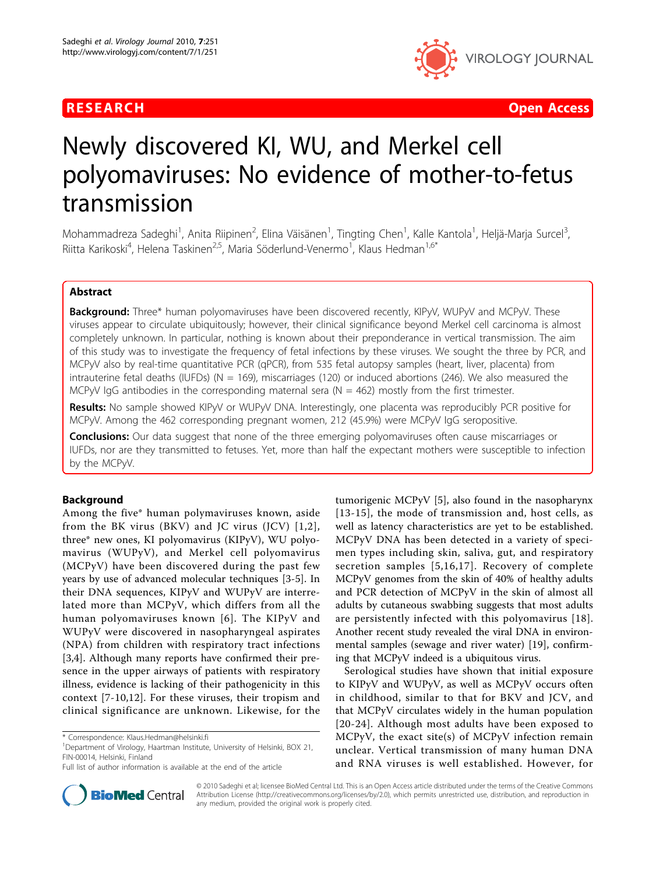

**RESEARCH Open Access CONTRACTES AND ACCESS CONTRACTES AND ACCESS CONTRACTES AND ACCESS** 

# Newly discovered KI, WU, and Merkel cell polyomaviruses: No evidence of mother-to-fetus transmission

Mohammadreza Sadeghi<sup>1</sup>, Anita Riipinen<sup>2</sup>, Elina Väisänen<sup>1</sup>, Tingting Chen<sup>1</sup>, Kalle Kantola<sup>1</sup>, Heljä-Marja Surcel<sup>3</sup> , Riitta Karikoski<sup>4</sup>, Helena Taskinen<sup>2,5</sup>, Maria Söderlund-Venermo<sup>1</sup>, Klaus Hedman<sup>1,6\*</sup>

# Abstract

**Background:** Three\* human polyomaviruses have been discovered recently, KIPyV, WUPyV and MCPyV. These viruses appear to circulate ubiquitously; however, their clinical significance beyond Merkel cell carcinoma is almost completely unknown. In particular, nothing is known about their preponderance in vertical transmission. The aim of this study was to investigate the frequency of fetal infections by these viruses. We sought the three by PCR, and MCPyV also by real-time quantitative PCR (qPCR), from 535 fetal autopsy samples (heart, liver, placenta) from intrauterine fetal deaths (IUFDs) ( $N = 169$ ), miscarriages (120) or induced abortions (246). We also measured the MCPyV IgG antibodies in the corresponding maternal sera ( $N = 462$ ) mostly from the first trimester.

Results: No sample showed KIPyV or WUPyV DNA. Interestingly, one placenta was reproducibly PCR positive for MCPyV. Among the 462 corresponding pregnant women, 212 (45.9%) were MCPyV IgG seropositive.

**Conclusions:** Our data suggest that none of the three emerging polyomaviruses often cause miscarriages or IUFDs, nor are they transmitted to fetuses. Yet, more than half the expectant mothers were susceptible to infection by the MCPyV.

# Background

Among the five\* human polymaviruses known, aside from the BK virus (BKV) and JC virus (JCV)  $[1,2]$  $[1,2]$ , three\* new ones, KI polyomavirus (KIPyV), WU polyomavirus (WUPyV), and Merkel cell polyomavirus (MCPyV) have been discovered during the past few years by use of advanced molecular techniques [\[3](#page-3-0)-[5\]](#page-3-0). In their DNA sequences, KIPyV and WUPyV are interrelated more than MCPyV, which differs from all the human polyomaviruses known [[6](#page-3-0)]. The KIPyV and WUPyV were discovered in nasopharyngeal aspirates (NPA) from children with respiratory tract infections [[3,4](#page-3-0)]. Although many reports have confirmed their presence in the upper airways of patients with respiratory illness, evidence is lacking of their pathogenicity in this context [\[7-10](#page-3-0),[12](#page-3-0)]. For these viruses, their tropism and clinical significance are unknown. Likewise, for the



Serological studies have shown that initial exposure to KIPyV and WUPyV, as well as MCPyV occurs often in childhood, similar to that for BKV and JCV, and that MCPyV circulates widely in the human population [[20-](#page-3-0)[24](#page-4-0)]. Although most adults have been exposed to MCPyV, the exact site(s) of MCPyV infection remain unclear. Vertical transmission of many human DNA and RNA viruses is well established. However, for



© 2010 Sadeghi et al; licensee BioMed Central Ltd. This is an Open Access article distributed under the terms of the Creative Commons Attribution License [\(http://creativecommons.org/licenses/by/2.0](http://creativecommons.org/licenses/by/2.0)), which permits unrestricted use, distribution, and reproduction in any medium, provided the original work is properly cited.

<sup>\*</sup> Correspondence: [Klaus.Hedman@helsinki.fi](mailto:Klaus.Hedman@helsinki.fi)

<sup>&</sup>lt;sup>1</sup>Department of Virology, Haartman Institute, University of Helsinki, BOX 21, FIN-00014, Helsinki, Finland

Full list of author information is available at the end of the article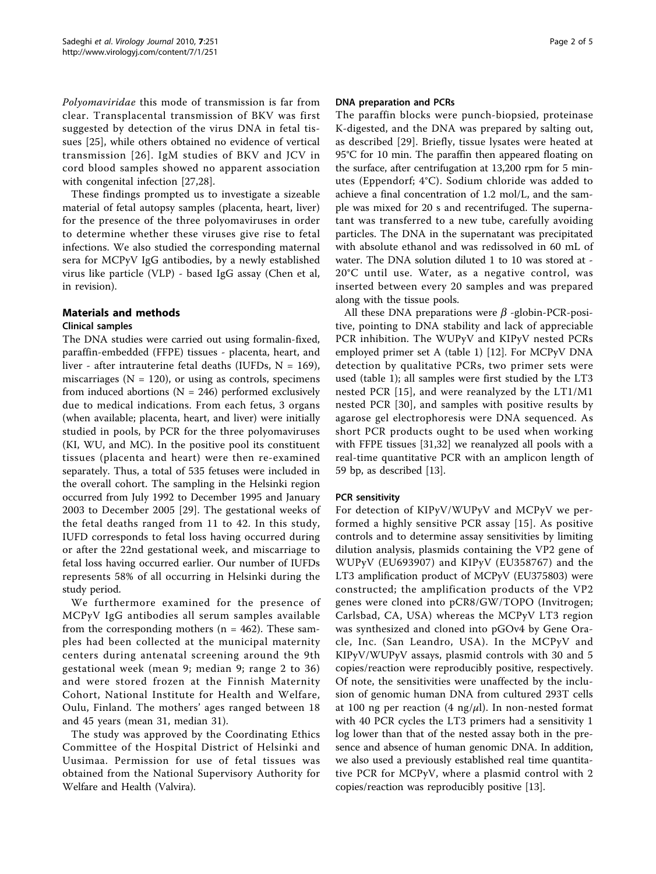Polyomaviridae this mode of transmission is far from clear. Transplacental transmission of BKV was first suggested by detection of the virus DNA in fetal tissues [[25](#page-4-0)], while others obtained no evidence of vertical transmission [[26](#page-4-0)]. IgM studies of BKV and JCV in cord blood samples showed no apparent association with congenital infection [[27,28](#page-4-0)].

These findings prompted us to investigate a sizeable material of fetal autopsy samples (placenta, heart, liver) for the presence of the three polyomaviruses in order to determine whether these viruses give rise to fetal infections. We also studied the corresponding maternal sera for MCPyV IgG antibodies, by a newly established virus like particle (VLP) - based IgG assay (Chen et al, in revision).

# Materials and methods

# Clinical samples

The DNA studies were carried out using formalin-fixed, paraffin-embedded (FFPE) tissues - placenta, heart, and liver - after intrauterine fetal deaths (IUFDs,  $N = 169$ ), miscarriages ( $N = 120$ ), or using as controls, specimens from induced abortions ( $N = 246$ ) performed exclusively due to medical indications. From each fetus, 3 organs (when available; placenta, heart, and liver) were initially studied in pools, by PCR for the three polyomaviruses (KI, WU, and MC). In the positive pool its constituent tissues (placenta and heart) were then re-examined separately. Thus, a total of 535 fetuses were included in the overall cohort. The sampling in the Helsinki region occurred from July 1992 to December 1995 and January 2003 to December 2005 [[29\]](#page-4-0). The gestational weeks of the fetal deaths ranged from 11 to 42. In this study, IUFD corresponds to fetal loss having occurred during or after the 22nd gestational week, and miscarriage to fetal loss having occurred earlier. Our number of IUFDs represents 58% of all occurring in Helsinki during the study period.

We furthermore examined for the presence of MCPyV IgG antibodies all serum samples available from the corresponding mothers ( $n = 462$ ). These samples had been collected at the municipal maternity centers during antenatal screening around the 9th gestational week (mean 9; median 9; range 2 to 36) and were stored frozen at the Finnish Maternity Cohort, National Institute for Health and Welfare, Oulu, Finland. The mothers' ages ranged between 18 and 45 years (mean 31, median 31).

The study was approved by the Coordinating Ethics Committee of the Hospital District of Helsinki and Uusimaa. Permission for use of fetal tissues was obtained from the National Supervisory Authority for Welfare and Health (Valvira).

### DNA preparation and PCRs

The paraffin blocks were punch-biopsied, proteinase K-digested, and the DNA was prepared by salting out, as described [[29](#page-4-0)]. Briefly, tissue lysates were heated at 95°C for 10 min. The paraffin then appeared floating on the surface, after centrifugation at 13,200 rpm for 5 minutes (Eppendorf; 4°C). Sodium chloride was added to achieve a final concentration of 1.2 mol/L, and the sample was mixed for 20 s and recentrifuged. The supernatant was transferred to a new tube, carefully avoiding particles. The DNA in the supernatant was precipitated with absolute ethanol and was redissolved in 60 mL of water. The DNA solution diluted 1 to 10 was stored at - 20°C until use. Water, as a negative control, was inserted between every 20 samples and was prepared along with the tissue pools.

All these DNA preparations were  $\beta$  -globin-PCR-positive, pointing to DNA stability and lack of appreciable PCR inhibition. The WUPyV and KIPyV nested PCRs employed primer set A (table [1](#page-2-0)) [\[12](#page-3-0)]. For MCPyV DNA detection by qualitative PCRs, two primer sets were used (table [1](#page-2-0)); all samples were first studied by the LT3 nested PCR [[15\]](#page-3-0), and were reanalyzed by the LT1/M1 nested PCR [[30](#page-4-0)], and samples with positive results by agarose gel electrophoresis were DNA sequenced. As short PCR products ought to be used when working with FFPE tissues [\[31](#page-4-0),[32](#page-4-0)] we reanalyzed all pools with a real-time quantitative PCR with an amplicon length of 59 bp, as described [[13\]](#page-3-0).

#### PCR sensitivity

For detection of KIPyV/WUPyV and MCPyV we performed a highly sensitive PCR assay [\[15\]](#page-3-0). As positive controls and to determine assay sensitivities by limiting dilution analysis, plasmids containing the VP2 gene of WUPyV (EU693907) and KIPyV (EU358767) and the LT3 amplification product of MCPyV (EU375803) were constructed; the amplification products of the VP2 genes were cloned into pCR8/GW/TOPO (Invitrogen; Carlsbad, CA, USA) whereas the MCPyV LT3 region was synthesized and cloned into pGOv4 by Gene Oracle, Inc. (San Leandro, USA). In the MCPyV and KIPyV/WUPyV assays, plasmid controls with 30 and 5 copies/reaction were reproducibly positive, respectively. Of note, the sensitivities were unaffected by the inclusion of genomic human DNA from cultured 293T cells at 100 ng per reaction (4 ng/ $\mu$ l). In non-nested format with 40 PCR cycles the LT3 primers had a sensitivity 1 log lower than that of the nested assay both in the presence and absence of human genomic DNA. In addition, we also used a previously established real time quantitative PCR for MCPyV, where a plasmid control with 2 copies/reaction was reproducibly positive [\[13\]](#page-3-0).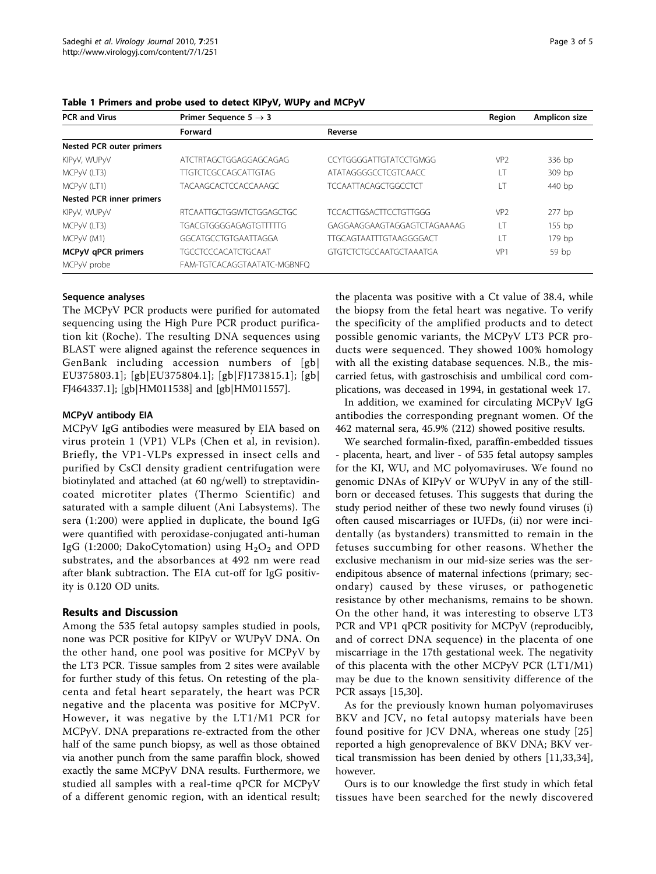| <b>PCR and Virus</b>            | Primer Sequence $5 \rightarrow 3$ |                                | Region          | Amplicon size |
|---------------------------------|-----------------------------------|--------------------------------|-----------------|---------------|
|                                 | Forward                           | Reverse                        |                 |               |
| <b>Nested PCR outer primers</b> |                                   |                                |                 |               |
| KIPyV, WUPyV                    | ATCTRTAGCTGGAGGAGCAGAG            | CCYTGGGGATTGTATCCTGMGG         | VP <sub>2</sub> | 336 bp        |
| MCPyV (LT3)                     | <b>TIGTCTCGCCAGCATTGTAG</b>       | <b>ATATAGGGGCCTCGTCAACC</b>    | LT              | 309 bp        |
| MCPyV (LT1)                     | <b>TACAAGCACTCCACCAAAGC</b>       | <b>TCCAATTACAGCTGGCCTCT</b>    | LT              | 440 bp        |
| <b>Nested PCR inner primers</b> |                                   |                                |                 |               |
| KIPyV, WUPyV                    | RTCAATTGCTGGWTCTGGAGCTGC          | <b>TCCACTTGSACTTCCTGTTGGG</b>  | VP <sub>2</sub> | $277$ bp      |
| MCPyV (LT3)                     | <b>TGACGTGGGGAGAGTGTTTTG</b>      | GAGGAAGGAAGTAGGAGTCTAGAAAAG    | LT              | 155 bp        |
| MCPyV (M1)                      | GGCATGCCTGTGAATTAGGA              | <b>TTGCAGTAATTTGTAAGGGGACT</b> | LT              | 179 bp        |
| MCPyV qPCR primers              | <b>TGCCTCCCACATCTGCAAT</b>        | GTGTCTCTGCCAATGCTAAATGA        | VP1             | 59 bp         |
| MCPyV probe                     | FAM-TGTCACAGGTAATATC-MGBNFQ       |                                |                 |               |

<span id="page-2-0"></span>Table 1 Primers and probe used to detect KIPyV, WUPy and MCPyV

### Sequence analyses

The MCPyV PCR products were purified for automated sequencing using the High Pure PCR product purification kit (Roche). The resulting DNA sequences using BLAST were aligned against the reference sequences in GenBank including accession numbers of [gb| [EU375803.1](http://www.ncbi.nih.gov/entrez/query.fcgi?db=Nucleotide&cmd=search&term=EU375803.1)]; [gb|[EU375804.1\]](http://www.ncbi.nih.gov/entrez/query.fcgi?db=Nucleotide&cmd=search&term=EU375804.1); [gb|[FJ173815.1\]](http://www.ncbi.nih.gov/entrez/query.fcgi?db=Nucleotide&cmd=search&term=FJ173815.1); [gb| [FJ464337.1](http://www.ncbi.nih.gov/entrez/query.fcgi?db=Nucleotide&cmd=search&term=FJ464337.1)]; [gb|[HM011538\]](http://www.ncbi.nih.gov/entrez/query.fcgi?db=Nucleotide&cmd=search&term=HM011538) and [gb[|HM011557](http://www.ncbi.nih.gov/entrez/query.fcgi?db=Nucleotide&cmd=search&term=HM011557)].

#### MCPyV antibody EIA

MCPyV IgG antibodies were measured by EIA based on virus protein 1 (VP1) VLPs (Chen et al, in revision). Briefly, the VP1-VLPs expressed in insect cells and purified by CsCl density gradient centrifugation were biotinylated and attached (at 60 ng/well) to streptavidincoated microtiter plates (Thermo Scientific) and saturated with a sample diluent (Ani Labsystems). The sera (1:200) were applied in duplicate, the bound IgG were quantified with peroxidase-conjugated anti-human IgG (1:2000; DakoCytomation) using  $H_2O_2$  and OPD substrates, and the absorbances at 492 nm were read after blank subtraction. The EIA cut-off for IgG positivity is 0.120 OD units.

# Results and Discussion

Among the 535 fetal autopsy samples studied in pools, none was PCR positive for KIPyV or WUPyV DNA. On the other hand, one pool was positive for MCPyV by the LT3 PCR. Tissue samples from 2 sites were available for further study of this fetus. On retesting of the placenta and fetal heart separately, the heart was PCR negative and the placenta was positive for MCPyV. However, it was negative by the LT1/M1 PCR for MCPyV. DNA preparations re-extracted from the other half of the same punch biopsy, as well as those obtained via another punch from the same paraffin block, showed exactly the same MCPyV DNA results. Furthermore, we studied all samples with a real-time qPCR for MCPyV of a different genomic region, with an identical result; the placenta was positive with a Ct value of 38.4, while the biopsy from the fetal heart was negative. To verify the specificity of the amplified products and to detect possible genomic variants, the MCPyV LT3 PCR products were sequenced. They showed 100% homology with all the existing database sequences. N.B., the miscarried fetus, with gastroschisis and umbilical cord complications, was deceased in 1994, in gestational week 17.

In addition, we examined for circulating MCPyV IgG antibodies the corresponding pregnant women. Of the 462 maternal sera, 45.9% (212) showed positive results.

We searched formalin-fixed, paraffin-embedded tissues - placenta, heart, and liver - of 535 fetal autopsy samples for the KI, WU, and MC polyomaviruses. We found no genomic DNAs of KIPyV or WUPyV in any of the stillborn or deceased fetuses. This suggests that during the study period neither of these two newly found viruses (i) often caused miscarriages or IUFDs, (ii) nor were incidentally (as bystanders) transmitted to remain in the fetuses succumbing for other reasons. Whether the exclusive mechanism in our mid-size series was the serendipitous absence of maternal infections (primary; secondary) caused by these viruses, or pathogenetic resistance by other mechanisms, remains to be shown. On the other hand, it was interesting to observe LT3 PCR and VP1 qPCR positivity for MCPyV (reproducibly, and of correct DNA sequence) in the placenta of one miscarriage in the 17th gestational week. The negativity of this placenta with the other MCPyV PCR (LT1/M1) may be due to the known sensitivity difference of the PCR assays [[15,](#page-3-0)[30\]](#page-4-0).

As for the previously known human polyomaviruses BKV and JCV, no fetal autopsy materials have been found positive for JCV DNA, whereas one study [[25](#page-4-0)] reported a high genoprevalence of BKV DNA; BKV vertical transmission has been denied by others [[11,](#page-3-0)[33,34](#page-4-0)], however.

Ours is to our knowledge the first study in which fetal tissues have been searched for the newly discovered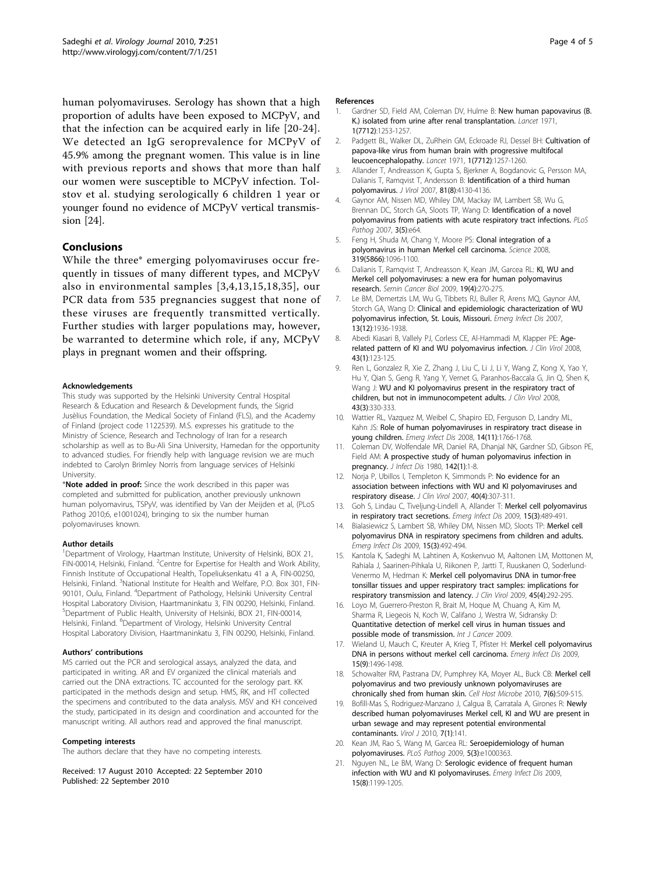<span id="page-3-0"></span>human polyomaviruses. Serology has shown that a high proportion of adults have been exposed to MCPyV, and that the infection can be acquired early in life [20-[24](#page-4-0)]. We detected an IgG seroprevalence for MCPyV of 45.9% among the pregnant women. This value is in line with previous reports and shows that more than half our women were susceptible to MCPyV infection. Tolstov et al. studying serologically 6 children 1 year or younger found no evidence of MCPyV vertical transmission [[24\]](#page-4-0).

# Conclusions

While the three\* emerging polyomaviruses occur frequently in tissues of many different types, and MCPyV also in environmental samples [3,4,13,15,18,[35\]](#page-4-0), our PCR data from 535 pregnancies suggest that none of these viruses are frequently transmitted vertically. Further studies with larger populations may, however, be warranted to determine which role, if any, MCPyV plays in pregnant women and their offspring.

#### Acknowledgements

This study was supported by the Helsinki University Central Hospital Research & Education and Research & Development funds, the Sigrid Jusèlius Foundation, the Medical Society of Finland (FLS), and the Academy of Finland (project code 1122539). M.S. expresses his gratitude to the Ministry of Science, Research and Technology of Iran for a research scholarship as well as to Bu-Ali Sina University, Hamedan for the opportunity to advanced studies. For friendly help with language revision we are much indebted to Carolyn Brimley Norris from language services of Helsinki University.

\*Note added in proof: Since the work described in this paper was completed and submitted for publication, another previously unknown human polyomavirus, TSPyV, was identified by Van der Meijden et al, (PLoS Pathog 2010;6, e1001024), bringing to six the number human polyomaviruses known.

#### Author details

<sup>1</sup>Department of Virology, Haartman Institute, University of Helsinki, BOX 21, FIN-00014, Helsinki, Finland. <sup>2</sup> Centre for Expertise for Health and Work Ability, Finnish Institute of Occupational Health, Topeliuksenkatu 41 a A, FIN-00250, Helsinki, Finland. <sup>3</sup>National Institute for Health and Welfare, P.O. Box 301, FIN-90101, Oulu, Finland. <sup>4</sup>Department of Pathology, Helsinki University Central Hospital Laboratory Division, Haartmaninkatu 3, FIN 00290, Helsinki, Finland. 5 Department of Public Health, University of Helsinki, BOX 21, FIN-00014, Helsinki, Finland. <sup>6</sup>Department of Virology, Helsinki University Central Hospital Laboratory Division, Haartmaninkatu 3, FIN 00290, Helsinki, Finland.

#### Authors' contributions

MS carried out the PCR and serological assays, analyzed the data, and participated in writing. AR and EV organized the clinical materials and carried out the DNA extractions. TC accounted for the serology part. KK participated in the methods design and setup. HMS, RK, and HT collected the specimens and contributed to the data analysis. MSV and KH conceived the study, participated in its design and coordination and accounted for the manuscript writing. All authors read and approved the final manuscript.

#### Competing interests

The authors declare that they have no competing interests.

Received: 17 August 2010 Accepted: 22 September 2010 Published: 22 September 2010

#### References

- 1. Gardner SD, Field AM, Coleman DV, Hulme B: [New human papovavirus \(B.](http://www.ncbi.nlm.nih.gov/pubmed/4104714?dopt=Abstract) [K.\) isolated from urine after renal transplantation.](http://www.ncbi.nlm.nih.gov/pubmed/4104714?dopt=Abstract) Lancet 1971, 1(7712):1253-1257.
- 2. Padgett BL, Walker DL, ZuRhein GM, Eckroade RJ, Dessel BH: [Cultivation of](http://www.ncbi.nlm.nih.gov/pubmed/4104715?dopt=Abstract) [papova-like virus from human brain with progressive multifocal](http://www.ncbi.nlm.nih.gov/pubmed/4104715?dopt=Abstract) [leucoencephalopathy.](http://www.ncbi.nlm.nih.gov/pubmed/4104715?dopt=Abstract) Lancet 1971, 1(7712):1257-1260.
- 3. Allander T, Andreasson K, Gupta S, Bjerkner A, Bogdanovic G, Persson MA, Dalianis T, Ramqvist T, Andersson B: [Identification of a third human](http://www.ncbi.nlm.nih.gov/pubmed/17287263?dopt=Abstract) [polyomavirus.](http://www.ncbi.nlm.nih.gov/pubmed/17287263?dopt=Abstract) J Virol 2007, 81(8):4130-4136.
- 4. Gaynor AM, Nissen MD, Whiley DM, Mackay IM, Lambert SB, Wu G, Brennan DC, Storch GA, Sloots TP, Wang D: [Identification of a novel](http://www.ncbi.nlm.nih.gov/pubmed/17480120?dopt=Abstract) [polyomavirus from patients with acute respiratory tract infections.](http://www.ncbi.nlm.nih.gov/pubmed/17480120?dopt=Abstract) PLoS Pathog 2007, 3(5):e64.
- 5. Feng H, Shuda M, Chang Y, Moore PS: [Clonal integration of a](http://www.ncbi.nlm.nih.gov/pubmed/18202256?dopt=Abstract) [polyomavirus in human Merkel cell carcinoma.](http://www.ncbi.nlm.nih.gov/pubmed/18202256?dopt=Abstract) Science 2008, 319(5866):1096-1100.
- 6. Dalianis T, Ramqvist T, Andreasson K, Kean JM, Garcea RL: [KI, WU and](http://www.ncbi.nlm.nih.gov/pubmed/19416753?dopt=Abstract) [Merkel cell polyomaviruses: a new era for human polyomavirus](http://www.ncbi.nlm.nih.gov/pubmed/19416753?dopt=Abstract) [research.](http://www.ncbi.nlm.nih.gov/pubmed/19416753?dopt=Abstract) Semin Cancer Biol 2009, 19(4):270-275.
- 7. Le BM, Demertzis LM, Wu G, Tibbets RJ, Buller R, Arens MQ, Gaynor AM, Storch GA, Wang D: [Clinical and epidemiologic characterization of WU](http://www.ncbi.nlm.nih.gov/pubmed/18258052?dopt=Abstract) [polyomavirus infection, St. Louis, Missouri.](http://www.ncbi.nlm.nih.gov/pubmed/18258052?dopt=Abstract) Emerg Infect Dis 2007. 13(12):1936-1938.
- 8. Abedi Kiasari B, Vallely PJ, Corless CE, Al-Hammadi M, Klapper PE: [Age](http://www.ncbi.nlm.nih.gov/pubmed/18573691?dopt=Abstract)[related pattern of KI and WU polyomavirus infection.](http://www.ncbi.nlm.nih.gov/pubmed/18573691?dopt=Abstract) J Clin Virol 2008, 43(1):123-125.
- 9. Ren L, Gonzalez R, Xie Z, Zhang J, Liu C, Li J, Li Y, Wang Z, Kong X, Yao Y, Hu Y, Qian S, Geng R, Yang Y, Vernet G, Paranhos-Baccala G, Jin Q, Shen K, Wang J: [WU and KI polyomavirus present in the respiratory tract of](http://www.ncbi.nlm.nih.gov/pubmed/18790667?dopt=Abstract) [children, but not in immunocompetent adults.](http://www.ncbi.nlm.nih.gov/pubmed/18790667?dopt=Abstract) J Clin Virol 2008, 43(3):330-333.
- 10. Wattier RL, Vazquez M, Weibel C, Shapiro ED, Ferguson D, Landry ML, Kahn JS: [Role of human polyomaviruses in respiratory tract disease in](http://www.ncbi.nlm.nih.gov/pubmed/18976566?dopt=Abstract) [young children.](http://www.ncbi.nlm.nih.gov/pubmed/18976566?dopt=Abstract) Emerg Infect Dis 2008, 14(11):1766-1768.
- 11. Coleman DV, Wolfendale MR, Daniel RA, Dhanjal NK, Gardner SD, Gibson PE, Field AM: [A prospective study of human polyomavirus infection in](http://www.ncbi.nlm.nih.gov/pubmed/6249869?dopt=Abstract) [pregnancy.](http://www.ncbi.nlm.nih.gov/pubmed/6249869?dopt=Abstract) J Infect Dis 1980, 142(1):1-8.
- 12. Norja P, Ubillos I, Templeton K, Simmonds P: [No evidence for an](http://www.ncbi.nlm.nih.gov/pubmed/17997354?dopt=Abstract) [association between infections with WU and KI polyomaviruses and](http://www.ncbi.nlm.nih.gov/pubmed/17997354?dopt=Abstract) [respiratory disease.](http://www.ncbi.nlm.nih.gov/pubmed/17997354?dopt=Abstract) J Clin Virol 2007, 40(4):307-311.
- 13. Goh S, Lindau C, Tiveljung-Lindell A, Allander T: [Merkel cell polyomavirus](http://www.ncbi.nlm.nih.gov/pubmed/19239773?dopt=Abstract) [in respiratory tract secretions.](http://www.ncbi.nlm.nih.gov/pubmed/19239773?dopt=Abstract) Emerg Infect Dis 2009, 15(3):489-491.
- 14. Bialasiewicz S, Lambert SB, Whiley DM, Nissen MD, Sloots TP: [Merkel cell](http://www.ncbi.nlm.nih.gov/pubmed/19239774?dopt=Abstract) [polyomavirus DNA in respiratory specimens from children and adults.](http://www.ncbi.nlm.nih.gov/pubmed/19239774?dopt=Abstract) Emerg Infect Dis 2009, 15(3):492-494.
- 15. Kantola K, Sadeghi M, Lahtinen A, Koskenvuo M, Aaltonen LM, Mottonen M, Rahiala J, Saarinen-Pihkala U, Riikonen P, Jartti T, Ruuskanen O, Soderlund-Venermo M, Hedman K: [Merkel cell polyomavirus DNA in tumor-free](http://www.ncbi.nlm.nih.gov/pubmed/19464943?dopt=Abstract) [tonsillar tissues and upper respiratory tract samples: implications for](http://www.ncbi.nlm.nih.gov/pubmed/19464943?dopt=Abstract) [respiratory transmission and latency.](http://www.ncbi.nlm.nih.gov/pubmed/19464943?dopt=Abstract) J Clin Virol 2009, 45(4):292-295.
- 16. Loyo M, Guerrero-Preston R, Brait M, Hoque M, Chuang A, Kim M, Sharma R, Liegeois N, Koch W, Califano J, Westra W, Sidransky D: Quantitative detection of merkel cell virus in human tissues and possible mode of transmission. Int J Cancer 2009
- 17. Wieland U, Mauch C, Kreuter A, Krieg T, Pfister H: [Merkel cell polyomavirus](http://www.ncbi.nlm.nih.gov/pubmed/19788824?dopt=Abstract) [DNA in persons without merkel cell carcinoma.](http://www.ncbi.nlm.nih.gov/pubmed/19788824?dopt=Abstract) Emerg Infect Dis 2009, 15(9):1496-1498.
- 18. Schowalter RM, Pastrana DV, Pumphrey KA, Moyer AL, Buck CB: [Merkel cell](http://www.ncbi.nlm.nih.gov/pubmed/20542254?dopt=Abstract) [polyomavirus and two previously unknown polyomaviruses are](http://www.ncbi.nlm.nih.gov/pubmed/20542254?dopt=Abstract) [chronically shed from human skin.](http://www.ncbi.nlm.nih.gov/pubmed/20542254?dopt=Abstract) Cell Host Microbe 2010, 7(6):509-515.
- 19. Bofill-Mas S, Rodriguez-Manzano J, Calgua B, Carratala A, Girones R: [Newly](http://www.ncbi.nlm.nih.gov/pubmed/20584272?dopt=Abstract) [described human polyomaviruses Merkel cell, KI and WU are present in](http://www.ncbi.nlm.nih.gov/pubmed/20584272?dopt=Abstract) [urban sewage and may represent potential environmental](http://www.ncbi.nlm.nih.gov/pubmed/20584272?dopt=Abstract) [contaminants.](http://www.ncbi.nlm.nih.gov/pubmed/20584272?dopt=Abstract) *Virol* J 2010, 7(1):141.
- 20. Kean JM, Rao S, Wang M, Garcea RL: [Seroepidemiology of human](http://www.ncbi.nlm.nih.gov/pubmed/19325891?dopt=Abstract) [polyomaviruses.](http://www.ncbi.nlm.nih.gov/pubmed/19325891?dopt=Abstract) PLoS Pathog 2009, 5(3):e1000363.
- 21. Nguyen NL, Le BM, Wang D: [Serologic evidence of frequent human](http://www.ncbi.nlm.nih.gov/pubmed/19751580?dopt=Abstract) [infection with WU and KI polyomaviruses.](http://www.ncbi.nlm.nih.gov/pubmed/19751580?dopt=Abstract) Emerg Infect Dis 2009, 15(8):1199-1205.